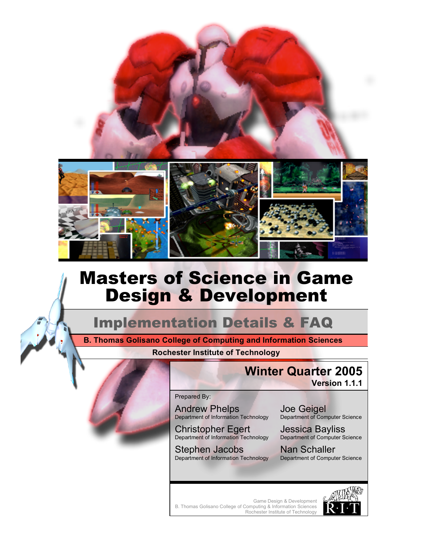

# Masters of Science in Game Design & Development

## Implementation Details & FAQ

**Rochester Institute of Technology B. Thomas Golisano College of Computing and Information Sciences**

## **Winter Quarter 2005**

**Version 1.1.1**

Prepared By:

Andrew Phelps Department of Information Technology

Christopher Egert Department of Information Technology

Stephen Jacobs Department of Information Technology Joe Geigel Department of Computer Science

Jessica Bayliss Department of Computer Science

Nan Schaller Department of Computer Science

Game Design & Development B. Thomas Golisano College of Computing & Information Sciences Rochester Institute of Technology

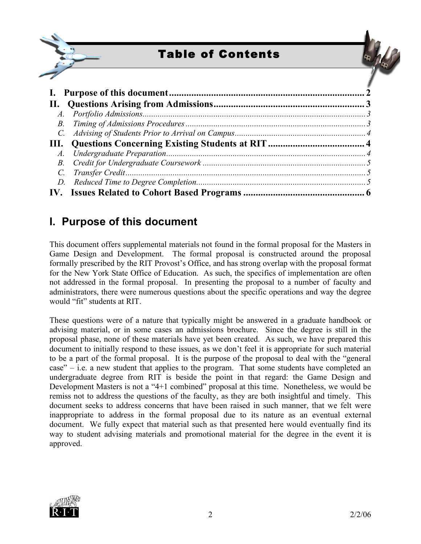



### **I. Purpose of this document**

This document offers supplemental materials not found in the formal proposal for the Masters in Game Design and Development. The formal proposal is constructed around the proposal formally prescribed by the RIT Provost's Office, and has strong overlap with the proposal format for the New York State Office of Education. As such, the specifics of implementation are often not addressed in the formal proposal. In presenting the proposal to a number of faculty and administrators, there were numerous questions about the specific operations and way the degree would "fit" students at RIT.

These questions were of a nature that typically might be answered in a graduate handbook or advising material, or in some cases an admissions brochure. Since the degree is still in the proposal phase, none of these materials have yet been created. As such, we have prepared this document to initially respond to these issues, as we don't feel it is appropriate for such material to be a part of the formal proposal. It is the purpose of the proposal to deal with the "general  $case'' - i.e.$  a new student that applies to the program. That some students have completed an undergraduate degree from RIT is beside the point in that regard: the Game Design and Development Masters is not a "4+1 combined" proposal at this time. Nonetheless, we would be remiss not to address the questions of the faculty, as they are both insightful and timely. This document seeks to address concerns that have been raised in such manner, that we felt were inappropriate to address in the formal proposal due to its nature as an eventual external document. We fully expect that material such as that presented here would eventually find its way to student advising materials and promotional material for the degree in the event it is approved.

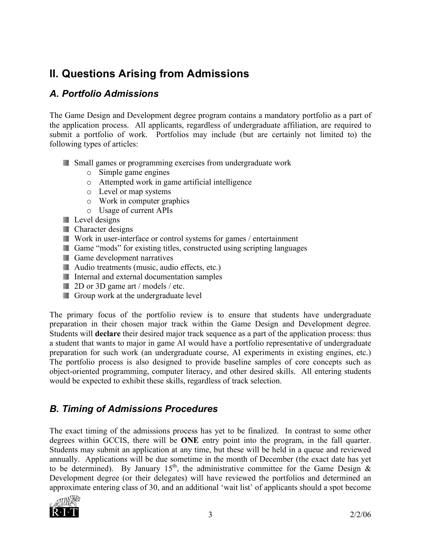## **II. Questions Arising from Admissions**

#### *A. Portfolio Admissions*

The Game Design and Development degree program contains a mandatory portfolio as a part of the application process. All applicants, regardless of undergraduate affiliation, are required to submit a portfolio of work. Portfolios may include (but are certainly not limited to) the following types of articles:

- **Small games or programming exercises from undergraduate work** 
	- o Simple game engines
	- o Attempted work in game artificial intelligence
	- o Level or map systems
	- o Work in computer graphics
	- o Usage of current APIs
- **Level** designs
- **Character designs**
- Work in user-interface or control systems for games / entertainment
- Game "mods" for existing titles, constructed using scripting languages
- **Game development narratives**
- Audio treatments (music, audio effects, etc.)
- Internal and external documentation samples
- 2D or 3D game art / models / etc.
- **Group work at the undergraduate level**

The primary focus of the portfolio review is to ensure that students have undergraduate preparation in their chosen major track within the Game Design and Development degree. Students will **declare** their desired major track sequence as a part of the application process: thus a student that wants to major in game AI would have a portfolio representative of undergraduate preparation for such work (an undergraduate course, AI experiments in existing engines, etc.) The portfolio process is also designed to provide baseline samples of core concepts such as object-oriented programming, computer literacy, and other desired skills. All entering students would be expected to exhibit these skills, regardless of track selection.

#### *B. Timing of Admissions Procedures*

The exact timing of the admissions process has yet to be finalized. In contrast to some other degrees within GCCIS, there will be **ONE** entry point into the program, in the fall quarter. Students may submit an application at any time, but these will be held in a queue and reviewed annually. Applications will be due sometime in the month of December (the exact date has yet to be determined). By January 15<sup>th</sup>, the administrative committee for the Game Design & Development degree (or their delegates) will have reviewed the portfolios and determined an approximate entering class of 30, and an additional 'wait list' of applicants should a spot become

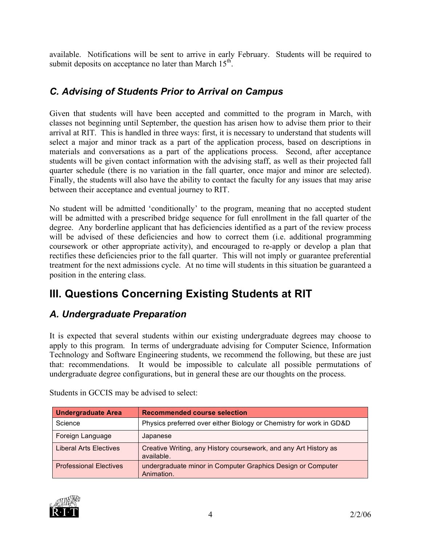available. Notifications will be sent to arrive in early February. Students will be required to submit deposits on acceptance no later than March  $15<sup>th</sup>$ .

#### *C. Advising of Students Prior to Arrival on Campus*

Given that students will have been accepted and committed to the program in March, with classes not beginning until September, the question has arisen how to advise them prior to their arrival at RIT. This is handled in three ways: first, it is necessary to understand that students will select a major and minor track as a part of the application process, based on descriptions in materials and conversations as a part of the applications process. Second, after acceptance students will be given contact information with the advising staff, as well as their projected fall quarter schedule (there is no variation in the fall quarter, once major and minor are selected). Finally, the students will also have the ability to contact the faculty for any issues that may arise between their acceptance and eventual journey to RIT.

No student will be admitted 'conditionally' to the program, meaning that no accepted student will be admitted with a prescribed bridge sequence for full enrollment in the fall quarter of the degree. Any borderline applicant that has deficiencies identified as a part of the review process will be advised of these deficiencies and how to correct them (i.e. additional programming coursework or other appropriate activity), and encouraged to re-apply or develop a plan that rectifies these deficiencies prior to the fall quarter. This will not imply or guarantee preferential treatment for the next admissions cycle. At no time will students in this situation be guaranteed a position in the entering class.

## **III. Questions Concerning Existing Students at RIT**

#### *A. Undergraduate Preparation*

It is expected that several students within our existing undergraduate degrees may choose to apply to this program. In terms of undergraduate advising for Computer Science, Information Technology and Software Engineering students, we recommend the following, but these are just that: recommendations. It would be impossible to calculate all possible permutations of undergraduate degree configurations, but in general these are our thoughts on the process.

| <b>Undergraduate Area</b>     | <b>Recommended course selection</b>                                            |
|-------------------------------|--------------------------------------------------------------------------------|
| Science                       | Physics preferred over either Biology or Chemistry for work in GD&D            |
| Foreign Language              | Japanese                                                                       |
| <b>Liberal Arts Electives</b> | Creative Writing, any History coursework, and any Art History as<br>available. |
| <b>Professional Electives</b> | undergraduate minor in Computer Graphics Design or Computer<br>Animation.      |

Students in GCCIS may be advised to select:

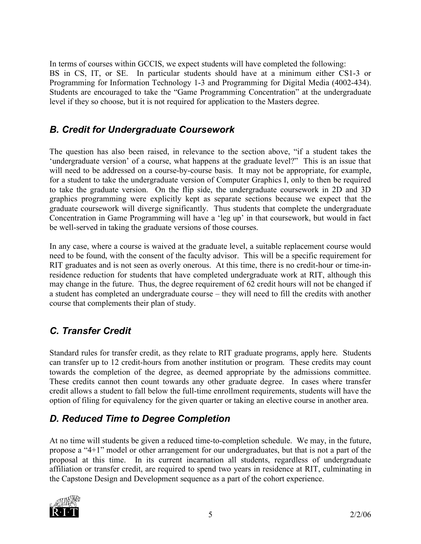In terms of courses within GCCIS, we expect students will have completed the following: BS in CS, IT, or SE. In particular students should have at a minimum either CS1-3 or Programming for Information Technology 1-3 and Programming for Digital Media (4002-434). Students are encouraged to take the "Game Programming Concentration" at the undergraduate level if they so choose, but it is not required for application to the Masters degree.

#### *B. Credit for Undergraduate Coursework*

The question has also been raised, in relevance to the section above, "if a student takes the 'undergraduate version' of a course, what happens at the graduate level?" This is an issue that will need to be addressed on a course-by-course basis. It may not be appropriate, for example, for a student to take the undergraduate version of Computer Graphics I, only to then be required to take the graduate version. On the flip side, the undergraduate coursework in 2D and 3D graphics programming were explicitly kept as separate sections because we expect that the graduate coursework will diverge significantly. Thus students that complete the undergraduate Concentration in Game Programming will have a 'leg up' in that coursework, but would in fact be well-served in taking the graduate versions of those courses.

In any case, where a course is waived at the graduate level, a suitable replacement course would need to be found, with the consent of the faculty advisor. This will be a specific requirement for RIT graduates and is not seen as overly onerous. At this time, there is no credit-hour or time-inresidence reduction for students that have completed undergraduate work at RIT, although this may change in the future. Thus, the degree requirement of 62 credit hours will not be changed if a student has completed an undergraduate course – they will need to fill the credits with another course that complements their plan of study.

#### *C. Transfer Credit*

Standard rules for transfer credit, as they relate to RIT graduate programs, apply here. Students can transfer up to 12 credit-hours from another institution or program. These credits may count towards the completion of the degree, as deemed appropriate by the admissions committee. These credits cannot then count towards any other graduate degree. In cases where transfer credit allows a student to fall below the full-time enrollment requirements, students will have the option of filing for equivalency for the given quarter or taking an elective course in another area.

#### *D. Reduced Time to Degree Completion*

At no time will students be given a reduced time-to-completion schedule. We may, in the future, propose a "4+1" model or other arrangement for our undergraduates, but that is not a part of the proposal at this time. In its current incarnation all students, regardless of undergraduate affiliation or transfer credit, are required to spend two years in residence at RIT, culminating in the Capstone Design and Development sequence as a part of the cohort experience.